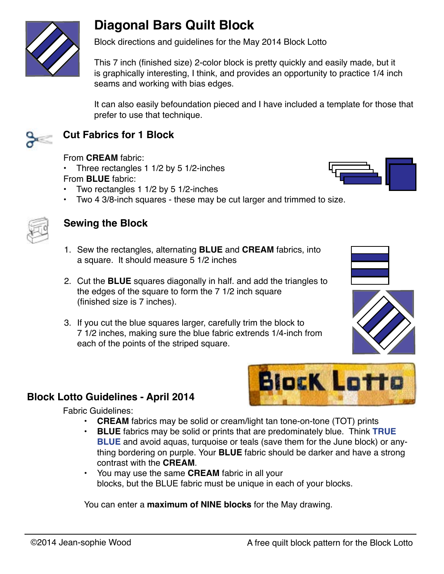

Block directions and guidelines for the May 2014 Block Lotto

This 7 inch (finished size) 2-color block is pretty quickly and easily made, but it is graphically interesting, I think, and provides an opportunity to practice 1/4 inch seams and working with bias edges.

It can also easily befoundation pieced and I have included a template for those that prefer to use that technique.



## **Cut Fabrics for 1 Block**

From **CREAM** fabric:

- Three rectangles 1 1/2 by 5 1/2-inches From **BLUE** fabric:
- Two rectangles 1 1/2 by 5 1/2-inches
- Two 4 3/8-inch squares these may be cut larger and trimmed to size.



## **Sewing the Block**

- 1. Sew the rectangles, alternating **BLUE** and **CREAM** fabrics, into a square. It should measure 5 1/2 inches
- 2. Cut the **BLUE** squares diagonally in half. and add the triangles to the edges of the square to form the 7 1/2 inch square (finished size is 7 inches).
- 3. If you cut the blue squares larger, carefully trim the block to 7 1/2 inches, making sure the blue fabric extrends 1/4-inch from each of the points of the striped square.



Fabric Guidelines:

- **• CREAM** fabrics may be solid or cream/light tan tone-on-tone (TOT) prints
- **• BLUE** fabrics may be solid or prints that are predominately blue. Think **TRUE BLUE** and avoid aquas, turquoise or teals (save them for the June block) or anything bordering on purple. Your **BLUE** fabric should be darker and have a strong contrast with the **CREAM**.
- You may use the same **CREAM** fabric in all your blocks, but the BLUE fabric must be unique in each of your blocks.

You can enter a **maximum of NINE blocks** for the May drawing.